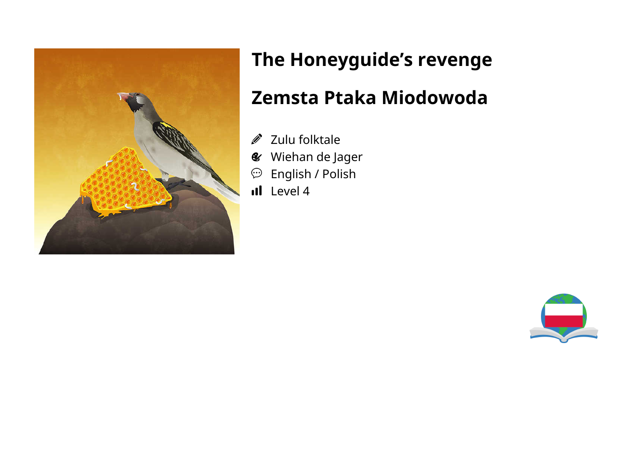

# **The Honeyguide's revenge**

### **Zemsta Ptaka Miodowoda**

- Zulu folktale  $\mathscr{D}$
- Wiehan de Jager
- $\mathfrak{D}$  English / Polish
- Il Level 4

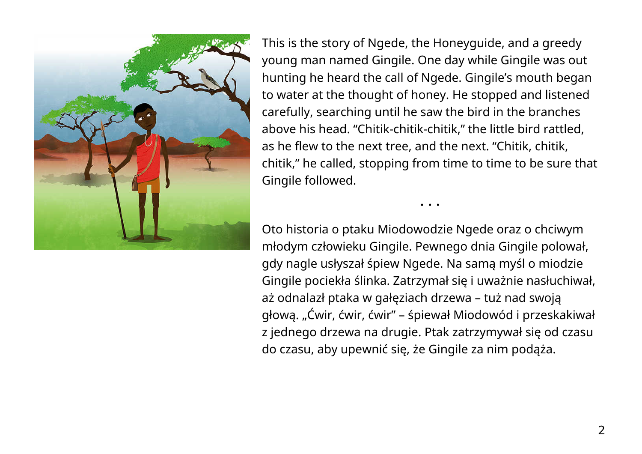

This is the story of Ngede, the Honeyguide, and a greedy young man named Gingile. One day while Gingile was out hunting he heard the call of Ngede. Gingile's mouth began to water at the thought of honey. He stopped and listened carefully, searching until he saw the bird in the branches above his head. "Chitik-chitik-chitik," the little bird rattled, as he flew to the next tree, and the next. "Chitik, chitik, chitik," he called, stopping from time to time to be sure that Gingile followed.

Oto historia o ptaku Miodowodzie Ngede oraz o chciwym młodym człowieku Gingile. Pewnego dnia Gingile polował, gdy nagle usłyszał śpiew Ngede. Na samą myśl o miodzie Gingile pociekła ślinka. Zatrzymał się i uważnie nasłuchiwał, aż odnalazł ptaka w gałęziach drzewa – tuż nad swoją głową. "Ćwir, ćwir, ćwir" – śpiewał Miodowód i przeskakiwał z jednego drzewa na drugie. Ptak zatrzymywał się od czasu do czasu, aby upewnić się, że Gingile za nim podąża.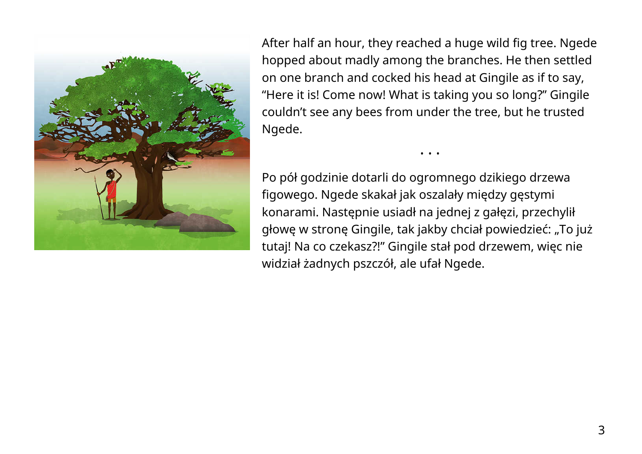

After half an hour, they reached a huge wild fig tree. Ngede hopped about madly among the branches. He then settled on one branch and cocked his head at Gingile as if to say, "Here it is! Come now! What is taking you so long?" Gingile couldn't see any bees from under the tree, but he trusted Ngede.

• • •

Po pół godzinie dotarli do ogromnego dzikiego drzewa figowego. Ngede skakał jak oszalały między gęstymi konarami. Następnie usiadł na jednej z gałęzi, przechylił głowę w stronę Gingile, tak jakby chciał powiedzieć: "To już tutaj! Na co czekasz?!" Gingile stał pod drzewem, więc nie widział żadnych pszczół, ale ufał Ngede.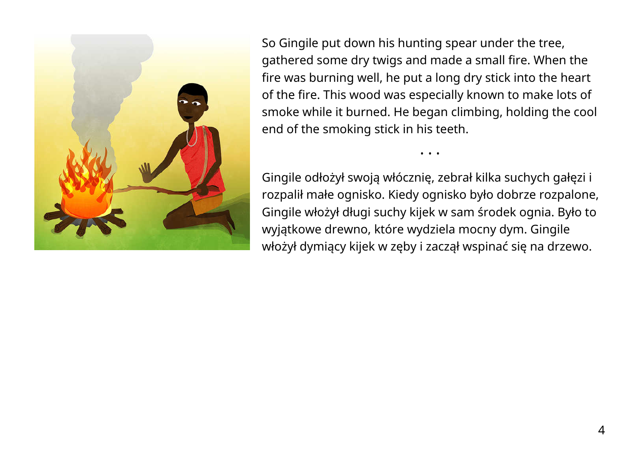

So Gingile put down his hunting spear under the tree, gathered some dry twigs and made a small fire. When the fire was burning well, he put a long dry stick into the heart of the fire. This wood was especially known to make lots of smoke while it burned. He began climbing, holding the cool end of the smoking stick in his teeth.

Gingile odłożył swoją włócznię, zebrał kilka suchych gałęzi i rozpalił małe ognisko. Kiedy ognisko było dobrze rozpalone, Gingile włożył długi suchy kijek w sam środek ognia. Było to wyjątkowe drewno, które wydziela mocny dym. Gingile włożył dymiący kijek w zęby i zaczął wspinać się na drzewo.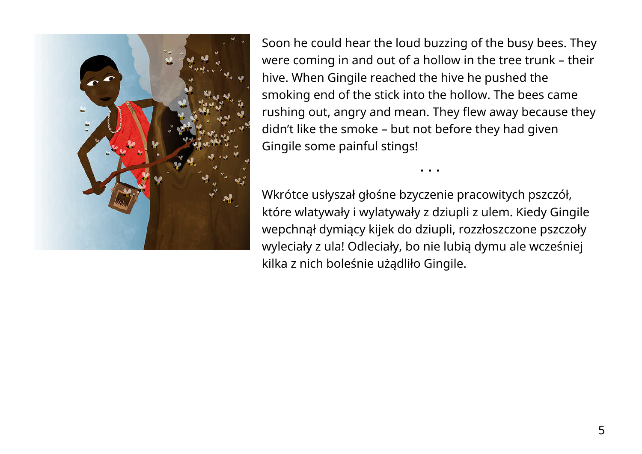

Soon he could hear the loud buzzing of the busy bees. They were coming in and out of a hollow in the tree trunk – their hive. When Gingile reached the hive he pushed the smoking end of the stick into the hollow. The bees came rushing out, angry and mean. They flew away because they didn't like the smoke – but not before they had given Gingile some painful stings!

• • •

Wkrótce usłyszał głośne bzyczenie pracowitych pszczół, które wlatywały i wylatywały z dziupli z ulem. Kiedy Gingile wepchnął dymiący kijek do dziupli, rozzłoszczone pszczoły wyleciały z ula! Odleciały, bo nie lubią dymu ale wcześniej kilka z nich boleśnie użądliło Gingile.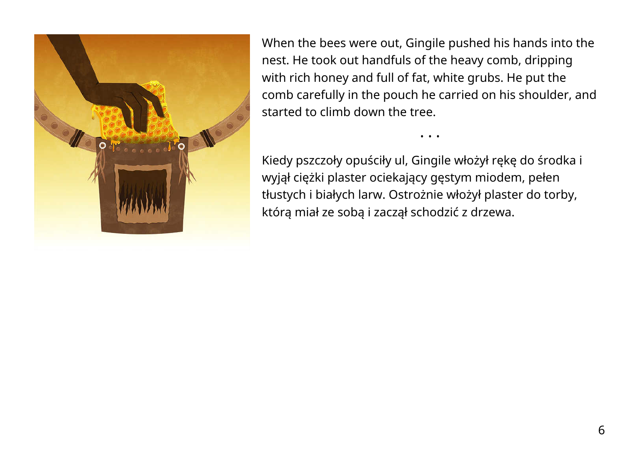

When the bees were out, Gingile pushed his hands into the nest. He took out handfuls of the heavy comb, dripping with rich honey and full of fat, white grubs. He put the comb carefully in the pouch he carried on his shoulder, and started to climb down the tree.

• • •

Kiedy pszczoły opuściły ul, Gingile włożył rękę do środka i wyjął ciężki plaster ociekający gęstym miodem, pełen tłustych i białych larw. Ostrożnie włożył plaster do torby, którą miał ze sobą i zaczął schodzić z drzewa.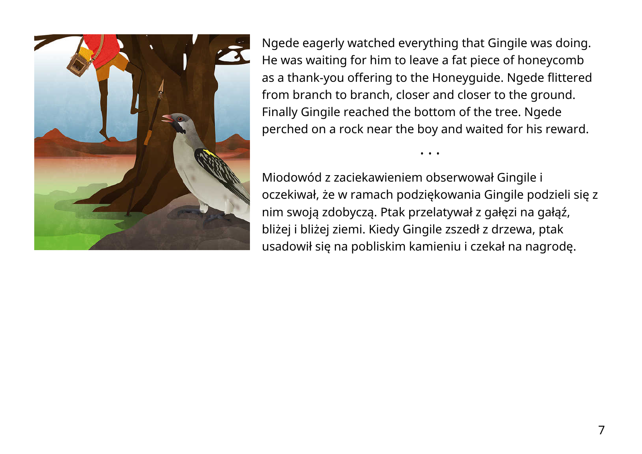

Ngede eagerly watched everything that Gingile was doing. He was waiting for him to leave a fat piece of honeycomb as a thank-you offering to the Honeyguide. Ngede flittered from branch to branch, closer and closer to the ground. Finally Gingile reached the bottom of the tree. Ngede perched on a rock near the boy and waited for his reward.

Miodowód z zaciekawieniem obserwował Gingile i oczekiwał, że w ramach podziękowania Gingile podzieli się z nim swoją zdobyczą. Ptak przelatywał z gałęzi na gałąź, bliżej i bliżej ziemi. Kiedy Gingile zszedł z drzewa, ptak usadowił się na pobliskim kamieniu i czekał na nagrodę.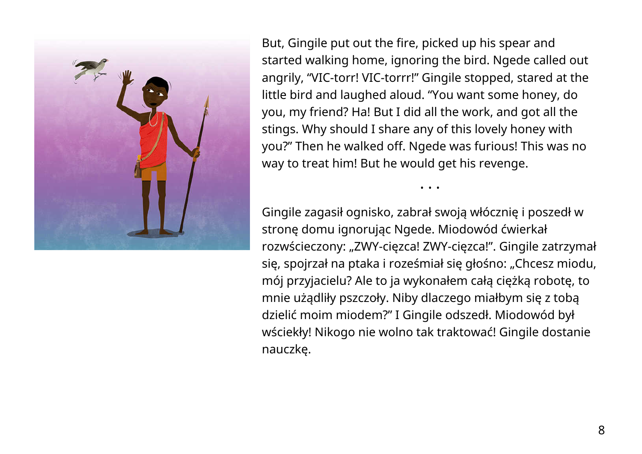

But, Gingile put out the fire, picked up his spear and started walking home, ignoring the bird. Ngede called out angrily, "VIC-torr! VIC-torrr!" Gingile stopped, stared at the little bird and laughed aloud. "You want some honey, do you, my friend? Ha! But I did all the work, and got all the stings. Why should I share any of this lovely honey with you?" Then he walked off. Ngede was furious! This was no way to treat him! But he would get his revenge.

• • •

Gingile zagasił ognisko, zabrał swoją włócznię i poszedł w stronę domu ignorując Ngede. Miodowód ćwierkał rozwścieczony: "ZWY-cięzca! ZWY-cięzca!". Gingile zatrzymał się, spojrzał na ptaka i roześmiał się głośno: "Chcesz miodu, mój przyjacielu? Ale to ja wykonałem całą ciężką robotę, to mnie użądliły pszczoły. Niby dlaczego miałbym się z tobą dzielić moim miodem?" I Gingile odszedł. Miodowód był wściekły! Nikogo nie wolno tak traktować! Gingile dostanie nauczkę.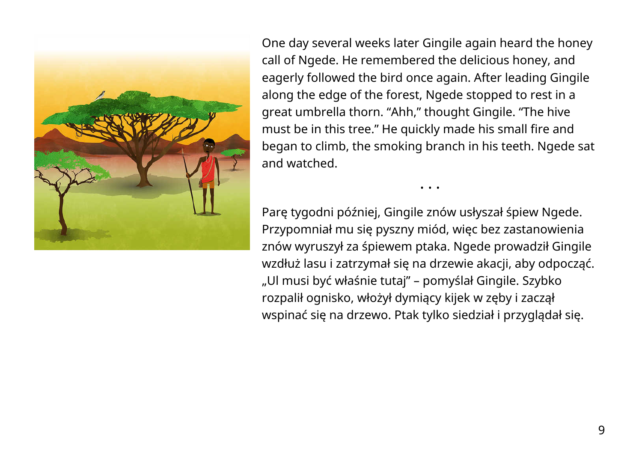

One day several weeks later Gingile again heard the honey call of Ngede. He remembered the delicious honey, and eagerly followed the bird once again. After leading Gingile along the edge of the forest, Ngede stopped to rest in a great umbrella thorn. "Ahh," thought Gingile. "The hive must be in this tree." He quickly made his small fire and began to climb, the smoking branch in his teeth. Ngede sat and watched.

• • •

Parę tygodni później, Gingile znów usłyszał śpiew Ngede. Przypomniał mu się pyszny miód, więc bez zastanowienia znów wyruszył za śpiewem ptaka. Ngede prowadził Gingile wzdłuż lasu i zatrzymał się na drzewie akacji, aby odpocząć. "Ul musi być właśnie tutaj" – pomyślał Gingile. Szybko rozpalił ognisko, włożył dymiący kijek w zęby i zaczął wspinać się na drzewo. Ptak tylko siedział i przyglądał się.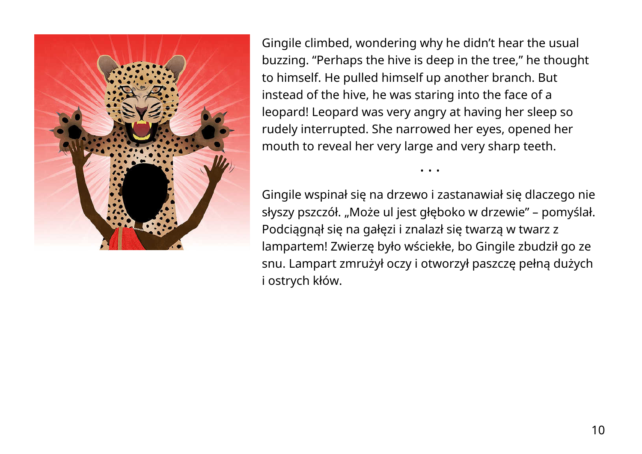

Gingile climbed, wondering why he didn't hear the usual buzzing. "Perhaps the hive is deep in the tree," he thought to himself. He pulled himself up another branch. But instead of the hive, he was staring into the face of a leopard! Leopard was very angry at having her sleep so rudely interrupted. She narrowed her eyes, opened her mouth to reveal her very large and very sharp teeth.

Gingile wspinał się na drzewo i zastanawiał się dlaczego nie słyszy pszczół. "Może ul jest głęboko w drzewie" – pomyślał. Podciągnął się na gałęzi i znalazł się twarzą w twarz z lampartem! Zwierzę było wściekłe, bo Gingile zbudził go ze snu. Lampart zmrużył oczy i otworzył paszczę pełną dużych i ostrych kłów.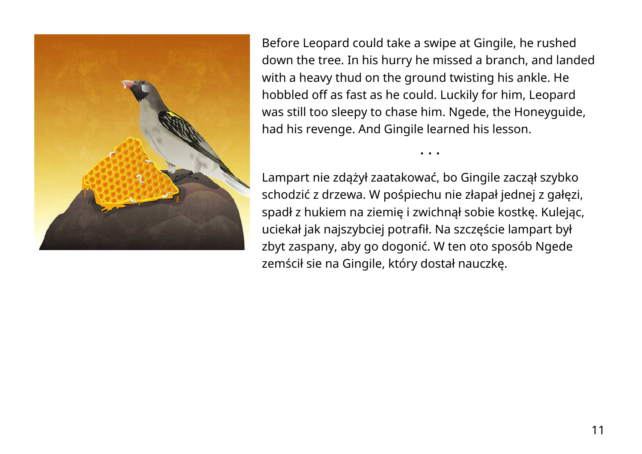

Before Leopard could take a swipe at Gingile, he rushed down the tree. In his hurry he missed a branch, and landed with a heavy thud on the ground twisting his ankle. He hobbled off as fast as he could. Luckily for him, Leopard was still too sleepy to chase him. Ngede, the Honeyguide, had his revenge. And Gingile learned his lesson.

• • •

Lampart nie zdążył zaatakować, bo Gingile zaczął szybko schodzić z drzewa. W pośpiechu nie złapał jednej z gałęzi, spadł z hukiem na ziemię i zwichnął sobie kostkę. Kulejąc, uciekał jak najszybciej potrafił. Na szczęście lampart był zbyt zaspany, aby go dogonić. W ten oto sposób Ngede zemścił sie na Gingile, który dostał nauczkę.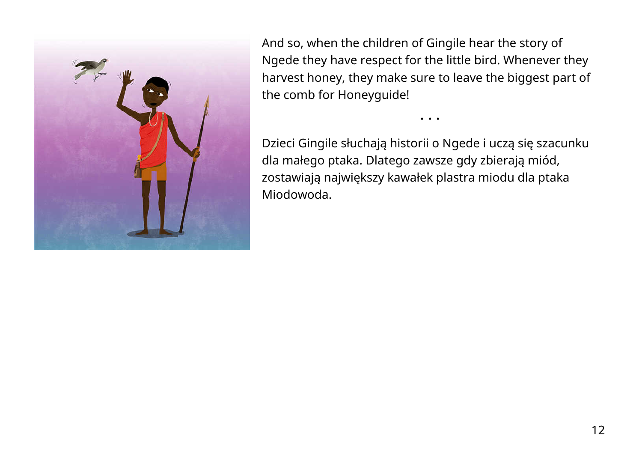

And so, when the children of Gingile hear the story of Ngede they have respect for the little bird. Whenever they harvest honey, they make sure to leave the biggest part of the comb for Honeyguide!

• • •

Dzieci Gingile słuchają historii o Ngede i uczą się szacunku dla małego ptaka. Dlatego zawsze gdy zbierają miód, zostawiają największy kawałek plastra miodu dla ptaka Miodowoda.